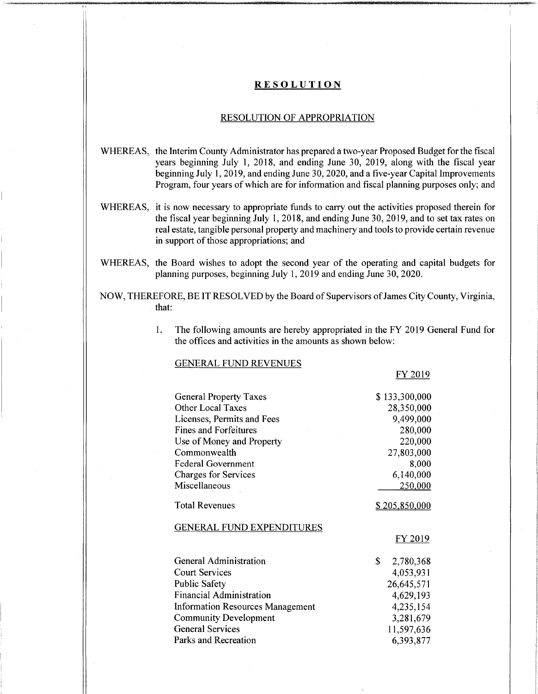## **RESOLUTION**

## RESOLUTION OF APPROPRIATION

- WHEREAS, the Interim County Administrator has prepared a two-year Proposed Budget for the fiscal years beginning July 1, 2018, and ending June 30, 2019, along with the fiscal year beginning July 1, 2019, and ending June 30,2020, and a five-year Capital Improvements Program, four years of which are for information and fiscal planning purposes only; and
- WHEREAS, it is now necessary to appropriate funds to carry out the activities proposed therein for the fiscal year beginning July 1, 2018, and ending June 30, 2019, and to set tax rates on real estate, tangible personal property and machinery and toolsto provide certain revenue in support of those appropriations; and
- WHEREAS, the Board wishes to adopt the second year of the operating and capital budgets for planning purposes, beginning July 1, 2019 and ending June 30, 2020.
- NOW, THEREFORE, BE IT RESOLVED by the Board of Supervisors ofJames City County, Virginia, that:
	- The following amounts are hereby appropriated in the FY 2019 General Fund for the offices and activities in the amounts as shown below: 1.

### GENERAL FUND REVENUES

FY 2019

| <b>General Property Taxes</b>                                           | \$133,300,000          |
|-------------------------------------------------------------------------|------------------------|
| <b>Other Local Taxes</b>                                                | 28,350,000             |
| Licenses, Permits and Fees                                              | 9,499,000              |
| <b>Fines and Forfeitures</b>                                            | 280,000                |
| Use of Money and Property                                               | 220,000                |
| Commonwealth                                                            | 27,803,000             |
| <b>Federal Government</b>                                               | 8,000                  |
| Charges for Services                                                    | 6,140,000              |
| Miscellaneous                                                           | 250,000                |
| <b>Total Revenues</b>                                                   | <u>\$205,850,000</u>   |
| <b>GENERAL FUND EXPENDITURES</b>                                        |                        |
|                                                                         | FY 2019                |
|                                                                         |                        |
| <b>General Administration</b>                                           | \$<br>2,780,368        |
| <b>Court Services</b>                                                   | 4,053,931              |
| <b>Public Safety</b>                                                    |                        |
| <b>Financial Administration</b>                                         | 26,645,571             |
|                                                                         | 4,629,193<br>4,235,154 |
| <b>Information Resources Management</b><br><b>Community Development</b> | 3,281,679              |
| <b>General Services</b>                                                 | 11,597,636             |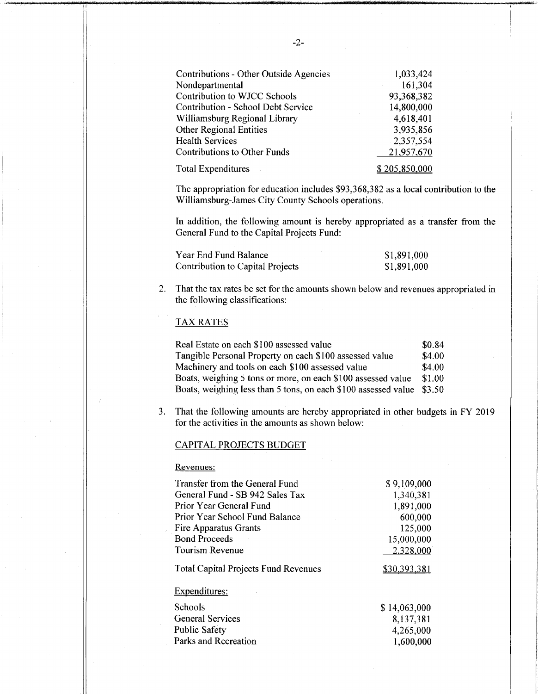| Contributions - Other Outside Agencies    | 1,033,424            |
|-------------------------------------------|----------------------|
| Nondepartmental                           | 161,304              |
| Contribution to WJCC Schools              | 93,368,382           |
| <b>Contribution - School Debt Service</b> | 14,800,000           |
| Williamsburg Regional Library             | 4,618,401            |
| Other Regional Entities                   | 3,935,856            |
| <b>Health Services</b>                    | 2,357,554            |
| <b>Contributions to Other Funds</b>       | 21,957,670           |
| <b>Total Expenditures</b>                 | <u>\$205,850,000</u> |

The appropriation for education includes \$93,368,382 as a local contribution to the Williamsburg-James City County Schools operations.

In addition, the following amount is hereby appropriated as a transfer from the General Fund to the Capital Projects Fund:

| Year End Fund Balance            | \$1,891,000 |
|----------------------------------|-------------|
| Contribution to Capital Projects | \$1,891,000 |

2. That the tax rates be set for the amounts shown below and revenues appropriated in the following classifications:

# TAX RATES

Real Estate on each \$ 100 assessed value Tangible Personal Property on each \$100 assessed value Machinery and tools on each \$100 assessed value Boats, weighing 5 tons or more, on each \$100 assessed value \$1.00 Boats, weighing less than 5 tons, on each \$100 assessed value \$3.50 \$0.84 \$4.00 \$4.00

3. That the following amounts are hereby appropriated in other budgets in FY 2019 for the activities in the amounts as shown below:

### CAPITAL PROJECTS BUDGET

Revenues:

| Transfer from the General Fund              | \$9,109,000         |
|---------------------------------------------|---------------------|
| General Fund - SB 942 Sales Tax             | 1,340,381           |
| Prior Year General Fund                     | 1,891,000           |
| Prior Year School Fund Balance              | 600,000             |
| Fire Apparatus Grants                       | 125,000             |
| <b>Bond Proceeds</b>                        | 15,000,000          |
| Tourism Revenue                             | 2,328,000           |
| <b>Total Capital Projects Fund Revenues</b> | <u>\$30,393,381</u> |
| <b>Expenditures:</b>                        |                     |
| Schools                                     | \$14,063,000        |
| <b>General Services</b>                     | 8,137,381           |
| <b>Public Safety</b>                        | 4,265,000           |
| Parks and Recreation                        | 1,600,000           |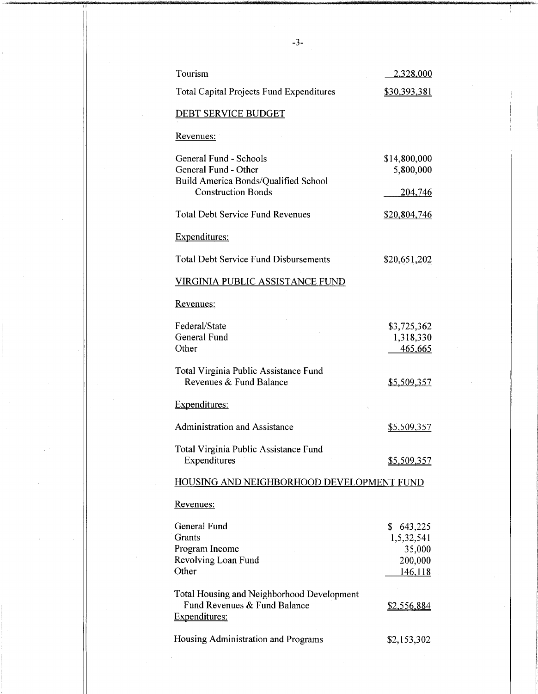| Tourism                                                                                                             | <u>2,328,000</u>                                        |
|---------------------------------------------------------------------------------------------------------------------|---------------------------------------------------------|
| <b>Total Capital Projects Fund Expenditures</b>                                                                     | \$30,393,381                                            |
| <b>DEBT SERVICE BUDGET</b>                                                                                          |                                                         |
| Revenues:                                                                                                           |                                                         |
| General Fund - Schools<br>General Fund - Other<br>Build America Bonds/Qualified School<br><b>Construction Bonds</b> | \$14,800,000<br>5,800,000<br><u>204,746</u>             |
| <b>Total Debt Service Fund Revenues</b>                                                                             | <u>\$20,804,746</u>                                     |
| <b>Expenditures:</b>                                                                                                |                                                         |
| <b>Total Debt Service Fund Disbursements</b>                                                                        | \$20,651,202                                            |
| <b>VIRGINIA PUBLIC ASSISTANCE FUND</b>                                                                              |                                                         |
| Revenues:                                                                                                           |                                                         |
| Federal/State<br><b>General Fund</b><br>Other                                                                       | \$3,725,362<br>1,318,330<br>465,665                     |
| Total Virginia Public Assistance Fund<br>Revenues & Fund Balance                                                    | \$5,509,357                                             |
| Expenditures:                                                                                                       |                                                         |
| <b>Administration and Assistance</b>                                                                                | <u>\$5,509,357</u>                                      |
| Total Virginia Public Assistance Fund<br>Expenditures                                                               | \$5,509,357                                             |
| HOUSING AND NEIGHBORHOOD DEVELOPMENT FUND                                                                           |                                                         |
| <u>Revenues:</u>                                                                                                    |                                                         |
| General Fund<br>Grants<br>Program Income<br>Revolving Loan Fund<br>Other                                            | \$643,225<br>1,5,32,541<br>35,000<br>200,000<br>146,118 |
| Total Housing and Neighborhood Development<br>Fund Revenues & Fund Balance<br>Expenditures:                         | <u>\$2,556,884</u>                                      |
| Housing Administration and Programs                                                                                 | \$2,153,302                                             |

-3-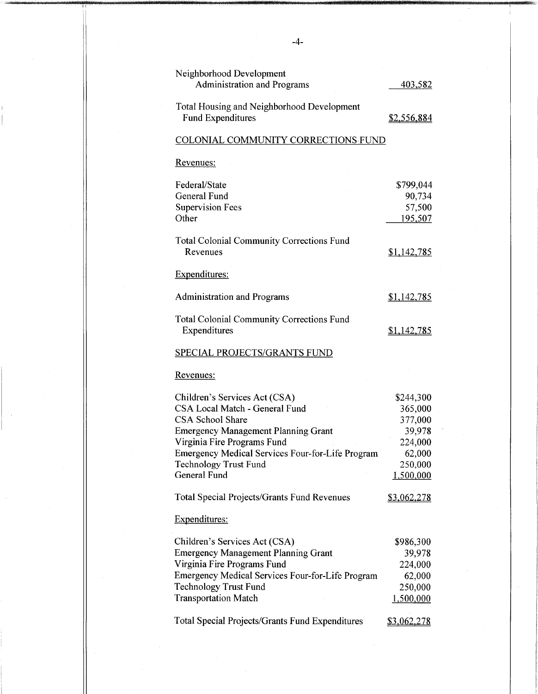| Neighborhood Development<br><b>Administration and Programs</b>         | 403,582            |
|------------------------------------------------------------------------|--------------------|
| Total Housing and Neighborhood Development<br><b>Fund Expenditures</b> | \$2,556,884        |
| COLONIAL COMMUNITY CORRECTIONS FUND                                    |                    |
| Revenues:                                                              |                    |
| Federal/State                                                          | \$799,044          |
| <b>General Fund</b>                                                    | 90,734             |
| <b>Supervision Fees</b>                                                | 57,500             |
| Other                                                                  | 195,507            |
| <b>Total Colonial Community Corrections Fund</b>                       |                    |
| Revenues                                                               | \$1,142,785        |
| Expenditures:                                                          |                    |
| <b>Administration and Programs</b>                                     | <u>\$1,142,785</u> |
| <b>Total Colonial Community Corrections Fund</b><br>Expenditures       | <u>\$1,142,785</u> |
| SPECIAL PROJECTS/GRANTS FUND                                           |                    |
| Revenues:                                                              |                    |
| Children's Services Act (CSA)                                          | \$244,300          |
| CSA Local Match - General Fund                                         | 365,000            |
| <b>CSA School Share</b>                                                | 377,000            |
| <b>Emergency Management Planning Grant</b>                             | 39,978             |
| Virginia Fire Programs Fund                                            | 224,000            |
| Emergency Medical Services Four-for-Life Program                       | 62,000             |
| <b>Technology Trust Fund</b>                                           | 250,000            |
| General Fund                                                           | 1,500,000          |
| <b>Total Special Projects/Grants Fund Revenues</b>                     | \$3,062,278        |
| Expenditures:                                                          |                    |
| Children's Services Act (CSA)                                          | \$986,300          |
| <b>Emergency Management Planning Grant</b>                             | 39,978             |
| Virginia Fire Programs Fund                                            | 224,000            |
| Emergency Medical Services Four-for-Life Program                       | 62,000             |
| <b>Technology Trust Fund</b>                                           | 250,000            |
| <b>Transportation Match</b>                                            | 1,500,000          |
| <b>Total Special Projects/Grants Fund Expenditures</b>                 | \$3,062,278        |
|                                                                        |                    |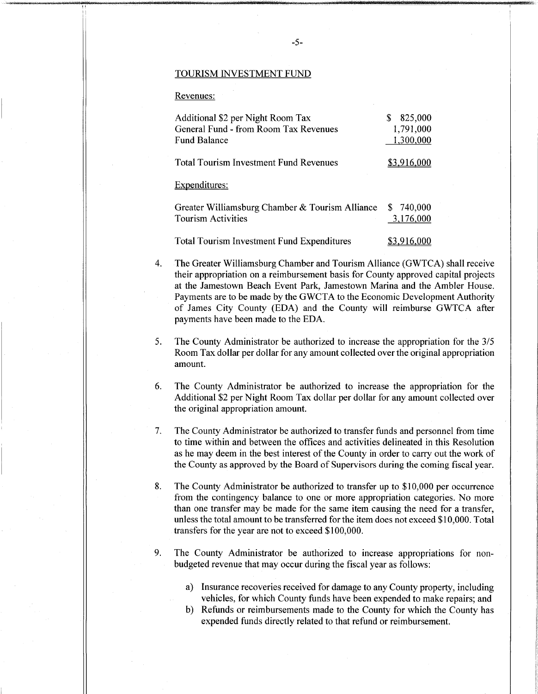#### TOURISM INVESTMENT FUND

### Revenues:

| Additional \$2 per Night Room Tax<br>General Fund - from Room Tax Revenues<br><b>Fund Balance</b> | 825,000<br>S<br>1,791,000<br>1,300,000 |
|---------------------------------------------------------------------------------------------------|----------------------------------------|
| <b>Total Tourism Investment Fund Revenues</b>                                                     | \$3.916.000                            |
| Expenditures:                                                                                     |                                        |
| Greater Williamsburg Chamber & Tourism Alliance<br><b>Tourism Activities</b>                      | \$ 740,000<br>3,176,000                |
| Total Tourism Investment Fund Expenditures                                                        |                                        |

4. The Greater Williamsburg Chamber and Tourism Alliance (GWTCA) shall receive their appropriation on a reimbursement basis for County approved capital projects at the Jamestown Beach Event Park, Jamestown Marina and the Ambler House. Payments are to be made by the GWCTA to the Economic Development Authority of James City County (EDA) and the County will reimburse GWTCA after payments have been made to the EDA.

- The County Administrator be authorized to increase the appropriation for the 3/5 Room Tax dollar per dollar for any amount collected over the original appropriation amount. 5.
- The County Administrator be authorized to increase the appropriation for the Additional \$2 per Night Room Tax dollar per dollar for any amount collected over the original appropriation amount. 6.
- The County Administrator be authorized to transfer funds and personnel from time to time within and between the offices and activities delineated in this Resolution as he may deem in the best interest of the County in order to carry out the work of the County as approved by the Board of Supervisors during the coming fiscal year. 7.
- The County Administrator be authorized to transfer up to \$10,000 per occurrence from the contingency balance to one or more appropriation categories. No more than one transfer may be made for the same item causing the need for a transfer, unless the total amount to be transferred forthe item does not exceed \$10,000. Total transfers for the year are not to exceed \$100,000. 8.
- The County Administrator be authorized to increase appropriations for nonbudgeted revenue that may occur during the fiscal year as follows: 9.
	- a) Insurance recoveries received for damage to any County property, including vehicles, for which County funds have been expended to make repairs; and
	- b) Refunds or reimbursements made to the County for which the County has expended funds directly related to that refund or reimbursement.